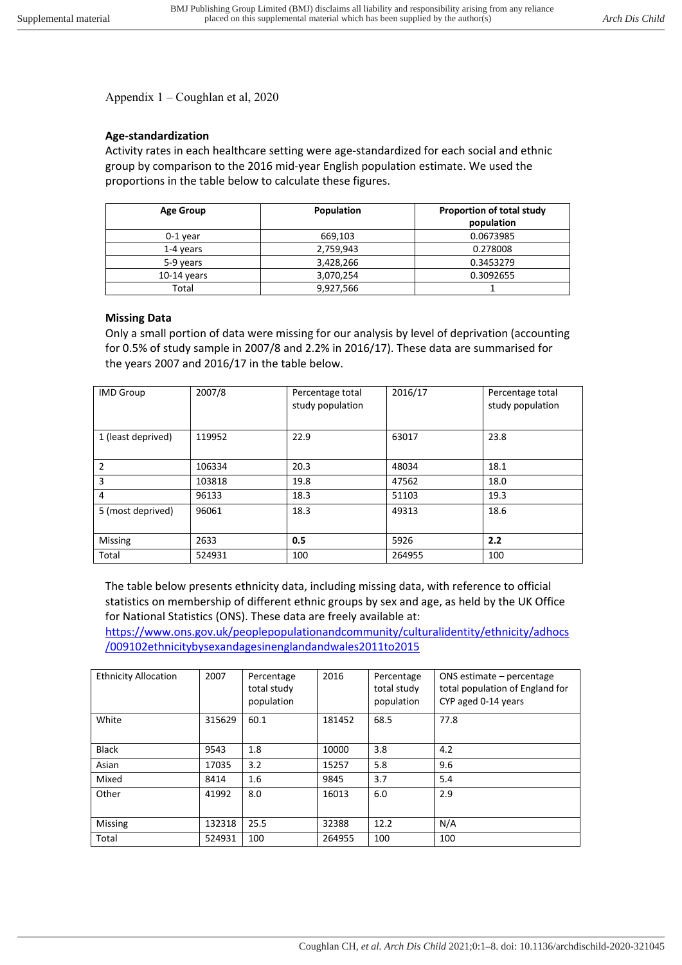Appendix 1 – Coughlan et al, 2020

## **Age-standardization**

Activity rates in each healthcare setting were age-standardized for each social and ethnic group by comparison to the 2016 mid-year English population estimate. We used the proportions in the table below to calculate these figures.

| <b>Age Group</b> | Population | Proportion of total study<br>population |  |
|------------------|------------|-----------------------------------------|--|
|                  |            |                                         |  |
| $0-1$ year       | 669,103    | 0.0673985                               |  |
| 1-4 years        | 2,759,943  | 0.278008                                |  |
| 5-9 years        | 3,428,266  | 0.3453279                               |  |
| $10-14$ years    | 3,070,254  | 0.3092655                               |  |
| Total            | 9,927,566  |                                         |  |

## **Missing Data**

Only a small portion of data were missing for our analysis by level of deprivation (accounting for 0.5% of study sample in 2007/8 and 2.2% in 2016/17). These data are summarised for the years 2007 and 2016/17 in the table below.

| <b>IMD Group</b>   | 2007/8 | Percentage total<br>study population | 2016/17 | Percentage total<br>study population |
|--------------------|--------|--------------------------------------|---------|--------------------------------------|
| 1 (least deprived) | 119952 | 22.9                                 | 63017   | 23.8                                 |
| 2                  | 106334 | 20.3                                 | 48034   | 18.1                                 |
| 3                  | 103818 | 19.8                                 | 47562   | 18.0                                 |
| 4                  | 96133  | 18.3                                 | 51103   | 19.3                                 |
| 5 (most deprived)  | 96061  | 18.3                                 | 49313   | 18.6                                 |
| Missing            | 2633   | 0.5                                  | 5926    | 2.2                                  |
| Total              | 524931 | 100                                  | 264955  | 100                                  |

The table below presents ethnicity data, including missing data, with reference to official statistics on membership of different ethnic groups by sex and age, as held by the UK Office for National Statistics (ONS). These data are freely available at:

https://www.ons.gov.uk/peoplepopulationandcommunity/culturalidentity/ethnicity/adhocs /009102ethnicitybysexandagesinenglandandwales2011to2015

| <b>Ethnicity Allocation</b> | 2007   | Percentage<br>total study<br>population | 2016   | Percentage<br>total study<br>population | ONS estimate - percentage<br>total population of England for<br>CYP aged 0-14 years |
|-----------------------------|--------|-----------------------------------------|--------|-----------------------------------------|-------------------------------------------------------------------------------------|
| White                       | 315629 | 60.1                                    | 181452 | 68.5                                    | 77.8                                                                                |
| <b>Black</b>                | 9543   | 1.8                                     | 10000  | 3.8                                     | 4.2                                                                                 |
| Asian                       | 17035  | 3.2                                     | 15257  | 5.8                                     | 9.6                                                                                 |
| Mixed                       | 8414   | 1.6                                     | 9845   | 3.7                                     | 5.4                                                                                 |
| Other                       | 41992  | 8.0                                     | 16013  | 6.0                                     | 2.9                                                                                 |
| Missing                     | 132318 | 25.5                                    | 32388  | 12.2                                    | N/A                                                                                 |
| Total                       | 524931 | 100                                     | 264955 | 100                                     | 100                                                                                 |